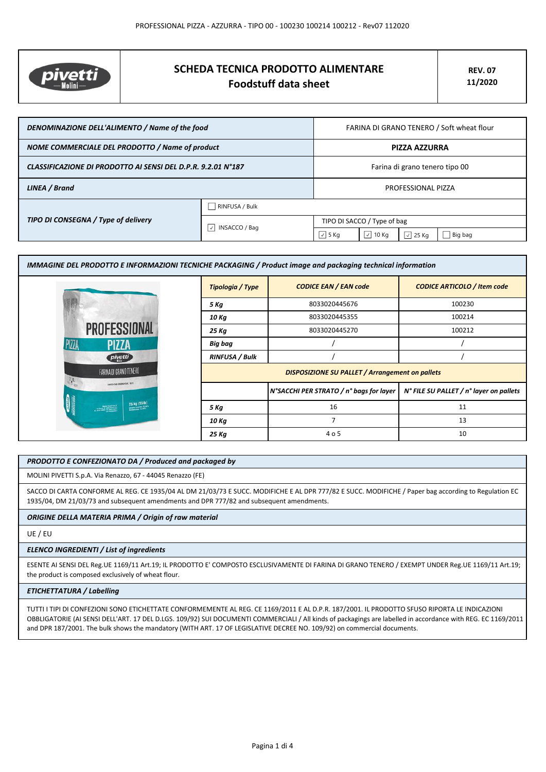

# **SCHEDA TECNICA PRODOTTO ALIMENTARE Foodstuff data sheet**

| DENOMINAZIONE DELL'ALIMENTO / Name of the food               |                                            | FARINA DI GRANO TENERO / Soft wheat flour |                  |                |         |
|--------------------------------------------------------------|--------------------------------------------|-------------------------------------------|------------------|----------------|---------|
| NOME COMMERCIALE DEL PRODOTTO / Name of product              |                                            | <b>PIZZA AZZURRA</b>                      |                  |                |         |
| CLASSIFICAZIONE DI PRODOTTO AI SENSI DEL D.P.R. 9.2.01 N°187 |                                            | Farina di grano tenero tipo 00            |                  |                |         |
| LINEA / Brand                                                |                                            | PROFESSIONAL PIZZA                        |                  |                |         |
| TIPO DI CONSEGNA / Type of delivery                          | $\Box$ RINFUSA / Bulk                      |                                           |                  |                |         |
|                                                              | $\vert \vee \vert$<br><b>INSACCO / Bag</b> | TIPO DI SACCO / Type of bag               |                  |                |         |
|                                                              |                                            | $\sqrt{5}$ Kg                             | $\sqrt{ }$ 10 Kg | $\sqrt{25}$ Kg | Big bag |

| IMMAGINE DEL PRODOTTO E INFORMAZIONI TECNICHE PACKAGING / Product image and packaging technical information |                                                        |                                         |                                         |  |
|-------------------------------------------------------------------------------------------------------------|--------------------------------------------------------|-----------------------------------------|-----------------------------------------|--|
|                                                                                                             | Tipologia / Type                                       | <b>CODICE EAN / EAN code</b>            | <b>CODICE ARTICOLO / Item code</b>      |  |
|                                                                                                             | 5 Kg                                                   | 8033020445676                           | 100230                                  |  |
|                                                                                                             | 10 Kg                                                  | 8033020445355                           | 100214                                  |  |
| <b>PROFESSIONAL</b>                                                                                         | 25 Kg                                                  | 8033020445270                           | 100212                                  |  |
| PIZZA<br><b>PIZZA</b>                                                                                       | Big bag                                                |                                         |                                         |  |
| pivetti                                                                                                     | <b>RINFUSA / Bulk</b>                                  |                                         |                                         |  |
| FARINA DI GRANO TENERO<br>SAPER FAR FARINA DAL 1879                                                         | <b>DISPOSIZIONE SU PALLET / Arrangement on pallets</b> |                                         |                                         |  |
|                                                                                                             |                                                        | N°SACCHI PER STRATO / n° bags for layer | N° FILE SU PALLET / n° layer on pallets |  |
| 25 kg (55lb)                                                                                                | 5 Kg                                                   | 16                                      | 11                                      |  |
|                                                                                                             | 10 Kg                                                  | $\overline{7}$                          | 13                                      |  |
|                                                                                                             | 25 Kg                                                  | 4 o 5                                   | 10                                      |  |

# *PRODOTTO E CONFEZIONATO DA / Produced and packaged by*

MOLINI PIVETTI S.p.A. Via Renazzo, 67 - 44045 Renazzo (FE)

SACCO DI CARTA CONFORME AL REG. CE 1935/04 AL DM 21/03/73 E SUCC. MODIFICHE E AL DPR 777/82 E SUCC. MODIFICHE / Paper bag according to Regulation EC 1935/04, DM 21/03/73 and subsequent amendments and DPR 777/82 and subsequent amendments.

# *ORIGINE DELLA MATERIA PRIMA / Origin of raw material*

UE / EU

#### *ELENCO INGREDIENTI / List of ingredients*

ESENTE AI SENSI DEL Reg.UE 1169/11 Art.19; IL PRODOTTO E' COMPOSTO ESCLUSIVAMENTE DI FARINA DI GRANO TENERO / EXEMPT UNDER Reg.UE 1169/11 Art.19; the product is composed exclusively of wheat flour.

## *ETICHETTATURA / Labelling*

TUTTI I TIPI DI CONFEZIONI SONO ETICHETTATE CONFORMEMENTE AL REG. CE 1169/2011 E AL D.P.R. 187/2001. IL PRODOTTO SFUSO RIPORTA LE INDICAZIONI OBBLIGATORIE (AI SENSI DELL'ART. 17 DEL D.LGS. 109/92) SUI DOCUMENTI COMMERCIALI / All kinds of packagings are labelled in accordance with REG. EC 1169/2011 and DPR 187/2001. The bulk shows the mandatory (WITH ART. 17 OF LEGISLATIVE DECREE NO. 109/92) on commercial documents.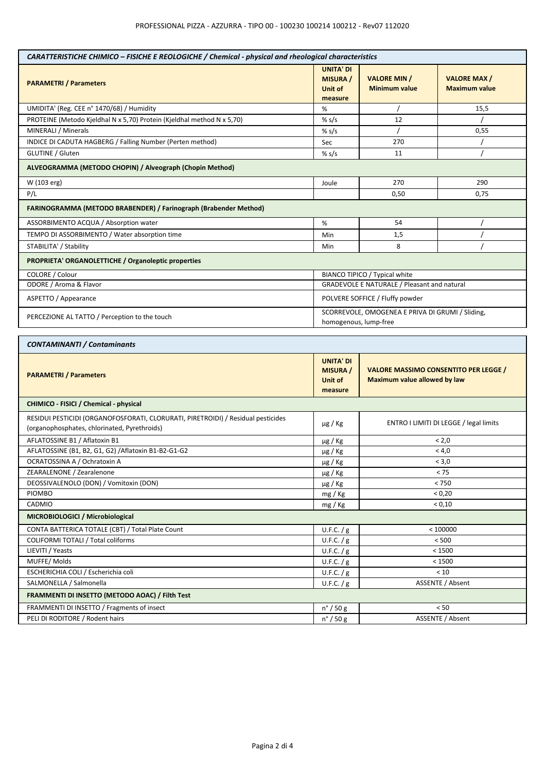| CARATTERISTICHE CHIMICO - FISICHE E REOLOGICHE / Chemical - physical and rheological characteristics                             |                                                           |                                                                              |                                            |  |
|----------------------------------------------------------------------------------------------------------------------------------|-----------------------------------------------------------|------------------------------------------------------------------------------|--------------------------------------------|--|
| <b>PARAMETRI / Parameters</b>                                                                                                    | <b>UNITA' DI</b><br><b>MISURA /</b><br>Unit of<br>measure | <b>VALORE MIN /</b><br><b>Minimum value</b>                                  | <b>VALORE MAX/</b><br><b>Maximum value</b> |  |
| UMIDITA' (Reg. CEE n° 1470/68) / Humidity                                                                                        | %                                                         |                                                                              | 15,5                                       |  |
| PROTEINE (Metodo Kjeldhal N x 5,70) Protein (Kjeldhal method N x 5,70)                                                           | % $s/s$                                                   | 12                                                                           |                                            |  |
| MINERALI / Minerals                                                                                                              | % s/s                                                     |                                                                              | 0,55                                       |  |
| INDICE DI CADUTA HAGBERG / Falling Number (Perten method)                                                                        | Sec                                                       | 270                                                                          |                                            |  |
| GLUTINE / Gluten                                                                                                                 | $%$ s/s                                                   | 11                                                                           |                                            |  |
| ALVEOGRAMMA (METODO CHOPIN) / Alveograph (Chopin Method)                                                                         |                                                           |                                                                              |                                            |  |
| W (103 erg)                                                                                                                      | Joule                                                     | 270<br>290                                                                   |                                            |  |
| P/L                                                                                                                              |                                                           | 0,50                                                                         | 0,75                                       |  |
| FARINOGRAMMA (METODO BRABENDER) / Farinograph (Brabender Method)                                                                 |                                                           |                                                                              |                                            |  |
| ASSORBIMENTO ACQUA / Absorption water                                                                                            | %                                                         | 54                                                                           |                                            |  |
| TEMPO DI ASSORBIMENTO / Water absorption time                                                                                    | Min                                                       | 1,5                                                                          |                                            |  |
| STABILITA' / Stability                                                                                                           | Min                                                       | 8                                                                            |                                            |  |
| <b>PROPRIETA' ORGANOLETTICHE / Organoleptic properties</b>                                                                       |                                                           |                                                                              |                                            |  |
| COLORE / Colour                                                                                                                  |                                                           | BIANCO TIPICO / Typical white                                                |                                            |  |
| ODORE / Aroma & Flavor                                                                                                           |                                                           | <b>GRADEVOLE E NATURALE / Pleasant and natural</b>                           |                                            |  |
| ASPETTO / Appearance                                                                                                             |                                                           | POLVERE SOFFICE / Fluffy powder                                              |                                            |  |
| PERCEZIONE AL TATTO / Perception to the touch                                                                                    |                                                           | SCORREVOLE, OMOGENEA E PRIVA DI GRUMI / Sliding,<br>homogenous, lump-free    |                                            |  |
| <b>CONTAMINANTI / Contaminants</b>                                                                                               |                                                           |                                                                              |                                            |  |
| <b>PARAMETRI / Parameters</b>                                                                                                    | <b>UNITA' DI</b><br><b>MISURA</b> /<br>Unit of<br>measure | <b>VALORE MASSIMO CONSENTITO PER LEGGE /</b><br>Maximum value allowed by law |                                            |  |
| CHIMICO - FISICI / Chemical - physical                                                                                           |                                                           |                                                                              |                                            |  |
| RESIDUI PESTICIDI (ORGANOFOSFORATI, CLORURATI, PIRETROIDI) / Residual pesticides<br>(organophosphates, chlorinated, Pyrethroids) | $\mu$ g / Kg                                              | ENTRO I LIMITI DI LEGGE / legal limits                                       |                                            |  |
| AFLATOSSINE B1 / Aflatoxin B1                                                                                                    | $\mu$ g / Kg                                              | < 2,0                                                                        |                                            |  |
| AFLATOSSINE (B1, B2, G1, G2) / Aflatoxin B1-B2-G1-G2                                                                             | $\mu$ g / Kg                                              | < 4,0                                                                        |                                            |  |
| OCRATOSSINA A / Ochratoxin A                                                                                                     | $\mu$ g / Kg                                              | < 3,0                                                                        |                                            |  |
| ZEARALENONE / Zearalenone                                                                                                        | $\mu$ g / Kg                                              | < 75                                                                         |                                            |  |
| DEOSSIVALENOLO (DON) / Vomitoxin (DON)                                                                                           | $\mu$ g / Kg                                              | $< 750$                                                                      |                                            |  |
| <b>PIOMBO</b>                                                                                                                    | mg / Kg                                                   | < 0,20                                                                       |                                            |  |
| CADMIO                                                                                                                           | mg / Kg                                                   | < 0,10                                                                       |                                            |  |
| MICROBIOLOGICI / Microbiological                                                                                                 |                                                           |                                                                              |                                            |  |
| CONTA BATTERICA TOTALE (CBT) / Total Plate Count                                                                                 | U.F.C. $/g$                                               | < 100000                                                                     |                                            |  |
| COLIFORMI TOTALI / Total coliforms                                                                                               | U.F.C. / g                                                | < 500                                                                        |                                            |  |
| LIEVITI / Yeasts                                                                                                                 | U.F.C. / g                                                | < 1500                                                                       |                                            |  |
| MUFFE/Molds                                                                                                                      | U.F.C. / g                                                | < 1500                                                                       |                                            |  |
| ESCHERICHIA COLI / Escherichia coli                                                                                              | U.F.C. $/g$                                               | < 10                                                                         |                                            |  |
| SALMONELLA / Salmonella                                                                                                          | U.F.C. $/g$                                               | ASSENTE / Absent                                                             |                                            |  |
| FRAMMENTI DI INSETTO (METODO AOAC) / Filth Test                                                                                  |                                                           |                                                                              |                                            |  |
| FRAMMENTI DI INSETTO / Fragments of insect                                                                                       | $n^{\circ}$ / 50 g                                        | $< 50$                                                                       |                                            |  |
| PELI DI RODITORE / Rodent hairs                                                                                                  | $n^{\circ}$ / 50 g                                        | ASSENTE / Absent                                                             |                                            |  |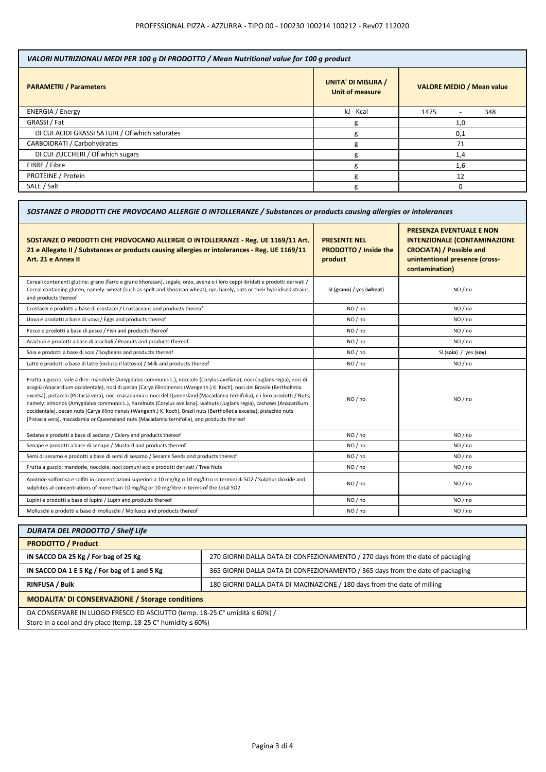| VALORI NUTRIZIONALI MEDI PER 100 g DI PRODOTTO / Mean Nutritional value for 100 g product |                                              |                                  |  |
|-------------------------------------------------------------------------------------------|----------------------------------------------|----------------------------------|--|
| <b>PARAMETRI / Parameters</b>                                                             | <b>UNITA' DI MISURA /</b><br>Unit of measure | <b>VALORE MEDIO / Mean value</b> |  |
| <b>ENERGIA / Energy</b>                                                                   | kJ - Kcal                                    | 348<br>1475                      |  |
| GRASSI / Fat                                                                              | g                                            | 1,0                              |  |
| DI CUI ACIDI GRASSI SATURI / Of which saturates                                           | g                                            | 0,1                              |  |
| CARBOIDRATI / Carbohydrates                                                               | g                                            | 71                               |  |
| DI CUI ZUCCHERI / Of which sugars                                                         | g                                            | 1,4                              |  |
| FIBRE / Fibre                                                                             | g                                            | 1,6                              |  |
| PROTEINE / Protein                                                                        | g                                            | 12                               |  |
| SALE / Salt                                                                               | g                                            |                                  |  |

| SOSTANZE O PRODOTTI CHE PROVOCANO ALLERGIE O INTOLLERANZE / Substances or products causing allergies or intolerances                                                                                                                                                                                                                                                                                                                                                                                                                                                                                                                                                                                                               |                                                                |                                                                                                                                                               |  |
|------------------------------------------------------------------------------------------------------------------------------------------------------------------------------------------------------------------------------------------------------------------------------------------------------------------------------------------------------------------------------------------------------------------------------------------------------------------------------------------------------------------------------------------------------------------------------------------------------------------------------------------------------------------------------------------------------------------------------------|----------------------------------------------------------------|---------------------------------------------------------------------------------------------------------------------------------------------------------------|--|
| SOSTANZE O PRODOTTI CHE PROVOCANO ALLERGIE O INTOLLERANZE - Reg. UE 1169/11 Art.<br>21 e Allegato II / Substances or products causing allergies or intolerances - Reg. UE 1169/11<br>Art. 21 e Annex II                                                                                                                                                                                                                                                                                                                                                                                                                                                                                                                            | <b>PRESENTE NEL</b><br><b>PRODOTTO / Inside the</b><br>product | <b>PRESENZA EVENTUALE E NON</b><br><b>INTENZIONALE (CONTAMINAZIONE</b><br><b>CROCIATA) / Possible and</b><br>unintentional presence (cross-<br>contamination) |  |
| Cereali contenenti glutine: grano (farro e grano khorasan), segale, orzo, avena o i loro ceppi ibridati e prodotti derivati /<br>Cereal containing gluten, namely: wheat (such as spelt and khorasan wheat), rye, barely, oats or their hybridised strains,<br>and products thereof                                                                                                                                                                                                                                                                                                                                                                                                                                                | SI (grano) / yes (wheat)                                       | NO / no                                                                                                                                                       |  |
| Crostacei e prodotti a base di crostacei / Crustaceans and products thereof                                                                                                                                                                                                                                                                                                                                                                                                                                                                                                                                                                                                                                                        | NO / no                                                        | NO / no                                                                                                                                                       |  |
| Uova e prodotti a base di uova / Eggs and products thereof                                                                                                                                                                                                                                                                                                                                                                                                                                                                                                                                                                                                                                                                         | NO / no                                                        | NO / no                                                                                                                                                       |  |
| Pesce e prodotti a base di pesce / Fish and products thereof                                                                                                                                                                                                                                                                                                                                                                                                                                                                                                                                                                                                                                                                       | NO / no                                                        | NO / no                                                                                                                                                       |  |
| Arachidi e prodotti a base di arachidi / Peanuts and products thereof                                                                                                                                                                                                                                                                                                                                                                                                                                                                                                                                                                                                                                                              | NO/no                                                          | NO/no                                                                                                                                                         |  |
| Soia e prodotti a base di soia / Soybeans and products thereof                                                                                                                                                                                                                                                                                                                                                                                                                                                                                                                                                                                                                                                                     | NO / no                                                        | SI (soia) / yes (soy)                                                                                                                                         |  |
| Latte e prodotti a base di latte (incluso il lattosio) / Milk and products thereof                                                                                                                                                                                                                                                                                                                                                                                                                                                                                                                                                                                                                                                 | NO / no                                                        | NO / no                                                                                                                                                       |  |
| Frutta a guscio, vale a dire: mandorle (Amygdalus communis L.), nocciole (Corylus avellana), noci (Juglans regia), noci di<br>acagiù (Anacardium occidentale), noci di pecan [Carya illinoinensis (Wangenh.) K. Koch], noci del Brasile (Bertholletia<br>excelsa), pistacchi (Pistacia vera), noci macadamia o noci del Queensland (Macadamia ternifolia), e i loro prodotti / Nuts,<br>namely: almonds (Amygdalus communis L.), hazelnuts (Corylus avellana), walnuts (Juglans regia), cashews (Anacardium<br>occidentale), pecan nuts (Carya illinoinensis (Wangenh.) K. Koch), Brazil nuts (Bertholletia excelsa), pistachio nuts<br>(Pistacia vera), macadamia or Queensland nuts (Macadamia ternifolia), and products thereof | NO / no                                                        | NO / no                                                                                                                                                       |  |
| Sedano e prodotti a base di sedano / Celery and products thereof                                                                                                                                                                                                                                                                                                                                                                                                                                                                                                                                                                                                                                                                   | NO / no                                                        | NO / no                                                                                                                                                       |  |
| Senape e prodotti a base di senape / Mustard and products thereof                                                                                                                                                                                                                                                                                                                                                                                                                                                                                                                                                                                                                                                                  | NO / no                                                        | NO / no                                                                                                                                                       |  |
| Semi di sesamo e prodotti a base di semi di sesamo / Sesame Seeds and products thereof                                                                                                                                                                                                                                                                                                                                                                                                                                                                                                                                                                                                                                             | NO/no                                                          | NO / no                                                                                                                                                       |  |
| Frutta a guscio: mandorle, nocciole, noci comuni ecc e prodotti derivati / Tree Nuts                                                                                                                                                                                                                                                                                                                                                                                                                                                                                                                                                                                                                                               | NO/no                                                          | NO/no                                                                                                                                                         |  |
| Anidride solforosa e solfiti in concentrazioni superiori a 10 mg/Kg o 10 mg/litro in termini di SO2 / Sulphur dioxide and<br>sulphites at concentrations of more than 10 mg/Kg or 10 mg/litre in terms of the total SO2                                                                                                                                                                                                                                                                                                                                                                                                                                                                                                            | NO / no                                                        | NO/no                                                                                                                                                         |  |
| Lupini e prodotti a base di lupini / Lupin and products thereof                                                                                                                                                                                                                                                                                                                                                                                                                                                                                                                                                                                                                                                                    | NO / no                                                        | NO / no                                                                                                                                                       |  |
| Molluschi e prodotti a base di molluschi / Molluscs and products thereof                                                                                                                                                                                                                                                                                                                                                                                                                                                                                                                                                                                                                                                           | NO / no                                                        | NO / no                                                                                                                                                       |  |

| <b>DURATA DEL PRODOTTO / Shelf Life</b>                                                                                                              |                                                                                |  |
|------------------------------------------------------------------------------------------------------------------------------------------------------|--------------------------------------------------------------------------------|--|
| <b>PRODOTTO / Product</b>                                                                                                                            |                                                                                |  |
| IN SACCO DA 25 Kg / For bag of 25 Kg                                                                                                                 | 270 GIORNI DALLA DATA DI CONFEZIONAMENTO / 270 days from the date of packaging |  |
| IN SACCO DA 1 E 5 Kg / For bag of 1 and 5 Kg                                                                                                         | 365 GIORNI DALLA DATA DI CONFEZIONAMENTO / 365 days from the date of packaging |  |
| <b>RINFUSA / Bulk</b>                                                                                                                                | 180 GIORNI DALLA DATA DI MACINAZIONE / 180 days from the date of milling       |  |
| <b>MODALITA' DI CONSERVAZIONE / Storage conditions</b>                                                                                               |                                                                                |  |
| DA CONSERVARE IN LUOGO FRESCO ED ASCIUTTO (temp. 18-25 C° umidità ≤ 60%) /<br>Store in a cool and dry place (temp. $18-25$ C° humidity $\leq 60\%$ ) |                                                                                |  |